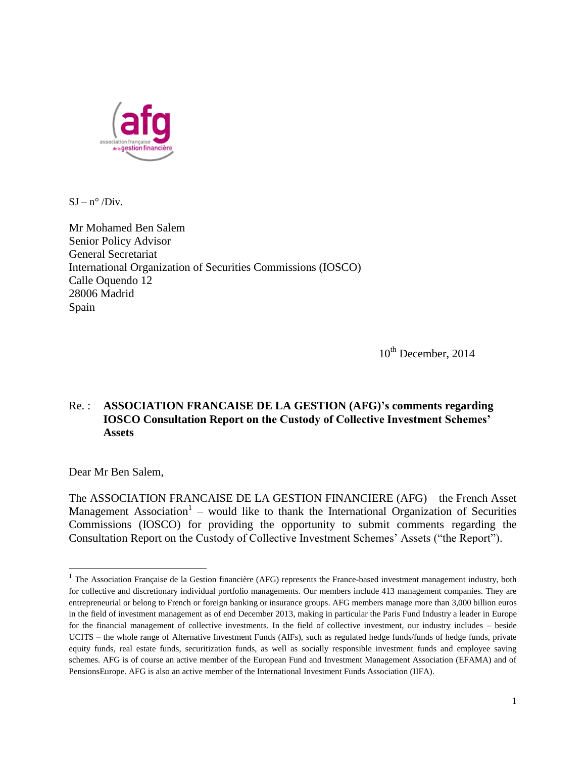

 $SJ - n^{\circ}/Div.$ 

Mr Mohamed Ben Salem Senior Policy Advisor General Secretariat International Organization of Securities Commissions (IOSCO) Calle Oquendo 12 28006 Madrid Spain

 $10^{th}$  December, 2014

#### Re. : **ASSOCIATION FRANCAISE DE LA GESTION (AFG)'s comments regarding IOSCO Consultation Report on the Custody of Collective Investment Schemes' Assets**

Dear Mr Ben Salem,

l

The ASSOCIATION FRANCAISE DE LA GESTION FINANCIERE (AFG) – the French Asset Management Association<sup>1</sup> – would like to thank the International Organization of Securities Commissions (IOSCO) for providing the opportunity to submit comments regarding the Consultation Report on the Custody of Collective Investment Schemes' Assets ("the Report").

<sup>&</sup>lt;sup>1</sup> The Association Française de la Gestion financière (AFG) represents the France-based investment management industry, both for collective and discretionary individual portfolio managements. Our members include 413 management companies. They are entrepreneurial or belong to French or foreign banking or insurance groups. AFG members manage more than 3,000 billion euros in the field of investment management as of end December 2013, making in particular the Paris Fund Industry a leader in Europe for the financial management of collective investments. In the field of collective investment, our industry includes – beside UCITS – the whole range of Alternative Investment Funds (AIFs), such as regulated hedge funds/funds of hedge funds, private equity funds, real estate funds, securitization funds, as well as socially responsible investment funds and employee saving schemes. AFG is of course an active member of the European Fund and Investment Management Association (EFAMA) and of PensionsEurope. AFG is also an active member of the International Investment Funds Association (IIFA).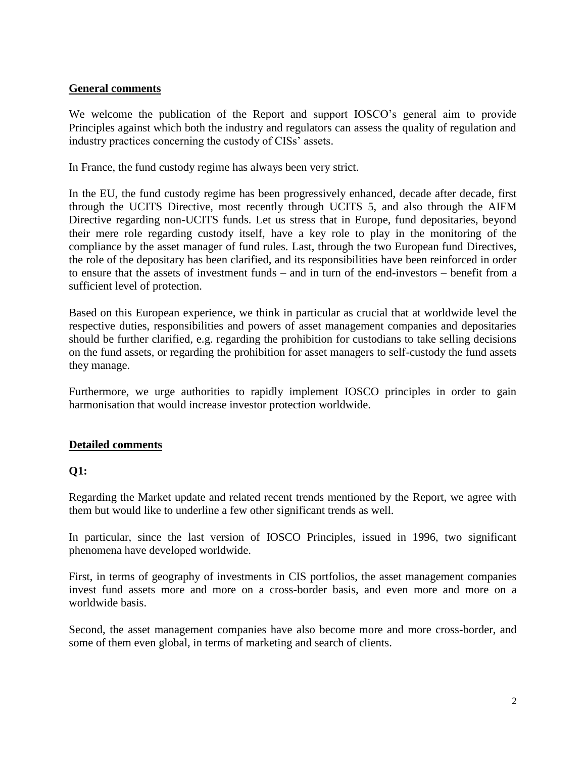#### **General comments**

We welcome the publication of the Report and support IOSCO's general aim to provide Principles against which both the industry and regulators can assess the quality of regulation and industry practices concerning the custody of CISs' assets.

In France, the fund custody regime has always been very strict.

In the EU, the fund custody regime has been progressively enhanced, decade after decade, first through the UCITS Directive, most recently through UCITS 5, and also through the AIFM Directive regarding non-UCITS funds. Let us stress that in Europe, fund depositaries, beyond their mere role regarding custody itself, have a key role to play in the monitoring of the compliance by the asset manager of fund rules. Last, through the two European fund Directives, the role of the depositary has been clarified, and its responsibilities have been reinforced in order to ensure that the assets of investment funds – and in turn of the end-investors – benefit from a sufficient level of protection.

Based on this European experience, we think in particular as crucial that at worldwide level the respective duties, responsibilities and powers of asset management companies and depositaries should be further clarified, e.g. regarding the prohibition for custodians to take selling decisions on the fund assets, or regarding the prohibition for asset managers to self-custody the fund assets they manage.

Furthermore, we urge authorities to rapidly implement IOSCO principles in order to gain harmonisation that would increase investor protection worldwide.

#### **Detailed comments**

#### **Q1:**

Regarding the Market update and related recent trends mentioned by the Report, we agree with them but would like to underline a few other significant trends as well.

In particular, since the last version of IOSCO Principles, issued in 1996, two significant phenomena have developed worldwide.

First, in terms of geography of investments in CIS portfolios, the asset management companies invest fund assets more and more on a cross-border basis, and even more and more on a worldwide basis.

Second, the asset management companies have also become more and more cross-border, and some of them even global, in terms of marketing and search of clients.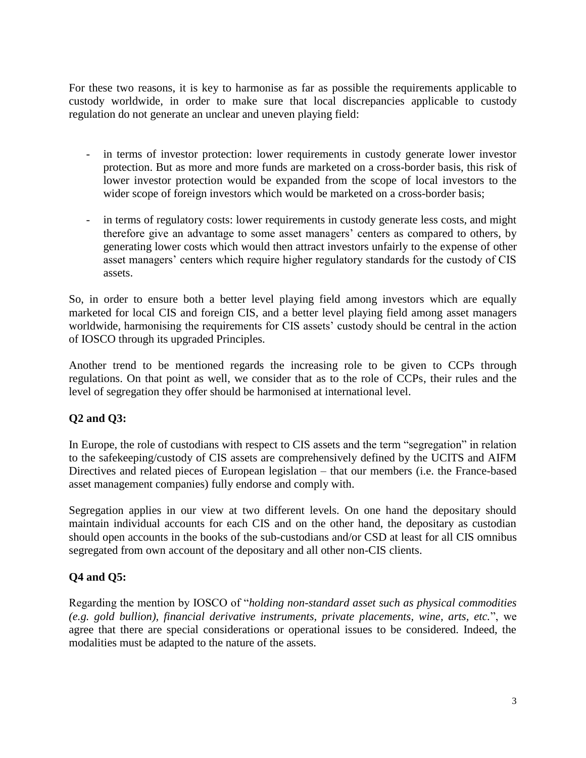For these two reasons, it is key to harmonise as far as possible the requirements applicable to custody worldwide, in order to make sure that local discrepancies applicable to custody regulation do not generate an unclear and uneven playing field:

- in terms of investor protection: lower requirements in custody generate lower investor protection. But as more and more funds are marketed on a cross-border basis, this risk of lower investor protection would be expanded from the scope of local investors to the wider scope of foreign investors which would be marketed on a cross-border basis;
- in terms of regulatory costs: lower requirements in custody generate less costs, and might therefore give an advantage to some asset managers' centers as compared to others, by generating lower costs which would then attract investors unfairly to the expense of other asset managers' centers which require higher regulatory standards for the custody of CIS assets.

So, in order to ensure both a better level playing field among investors which are equally marketed for local CIS and foreign CIS, and a better level playing field among asset managers worldwide, harmonising the requirements for CIS assets' custody should be central in the action of IOSCO through its upgraded Principles.

Another trend to be mentioned regards the increasing role to be given to CCPs through regulations. On that point as well, we consider that as to the role of CCPs, their rules and the level of segregation they offer should be harmonised at international level.

## **Q2 and Q3:**

In Europe, the role of custodians with respect to CIS assets and the term "segregation" in relation to the safekeeping/custody of CIS assets are comprehensively defined by the UCITS and AIFM Directives and related pieces of European legislation – that our members (i.e. the France-based asset management companies) fully endorse and comply with.

Segregation applies in our view at two different levels. On one hand the depositary should maintain individual accounts for each CIS and on the other hand, the depositary as custodian should open accounts in the books of the sub-custodians and/or CSD at least for all CIS omnibus segregated from own account of the depositary and all other non-CIS clients.

# **Q4 and Q5:**

Regarding the mention by IOSCO of "*holding non-standard asset such as physical commodities (e.g. gold bullion), financial derivative instruments, private placements, wine, arts, etc.*", we agree that there are special considerations or operational issues to be considered. Indeed, the modalities must be adapted to the nature of the assets.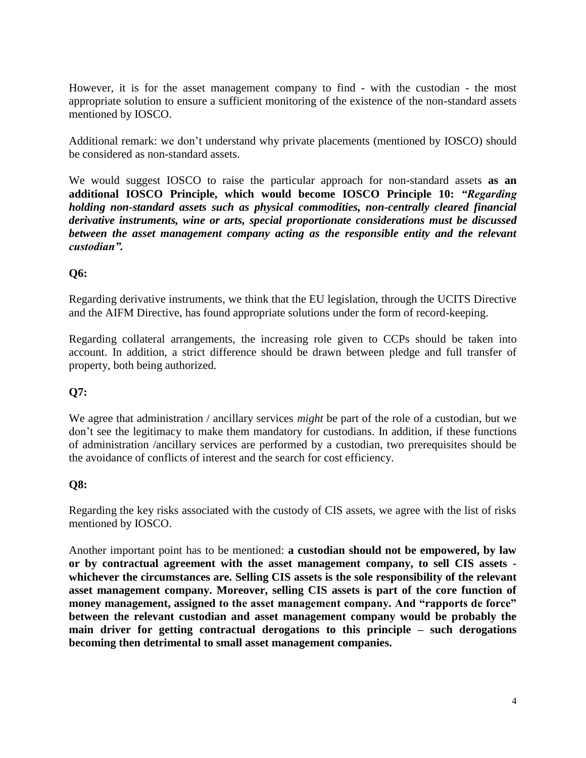However, it is for the asset management company to find - with the custodian - the most appropriate solution to ensure a sufficient monitoring of the existence of the non-standard assets mentioned by IOSCO.

Additional remark: we don't understand why private placements (mentioned by IOSCO) should be considered as non-standard assets.

We would suggest IOSCO to raise the particular approach for non-standard assets **as an additional IOSCO Principle, which would become IOSCO Principle 10:** *"Regarding holding non-standard assets such as physical commodities, non-centrally cleared financial derivative instruments, wine or arts, special proportionate considerations must be discussed between the asset management company acting as the responsible entity and the relevant custodian".*

## **Q6:**

Regarding derivative instruments, we think that the EU legislation, through the UCITS Directive and the AIFM Directive, has found appropriate solutions under the form of record-keeping.

Regarding collateral arrangements, the increasing role given to CCPs should be taken into account. In addition, a strict difference should be drawn between pledge and full transfer of property, both being authorized.

## **Q7:**

We agree that administration / ancillary services *might* be part of the role of a custodian, but we don't see the legitimacy to make them mandatory for custodians. In addition, if these functions of administration /ancillary services are performed by a custodian, two prerequisites should be the avoidance of conflicts of interest and the search for cost efficiency.

## **Q8:**

Regarding the key risks associated with the custody of CIS assets, we agree with the list of risks mentioned by IOSCO.

Another important point has to be mentioned: **a custodian should not be empowered, by law or by contractual agreement with the asset management company, to sell CIS assets whichever the circumstances are. Selling CIS assets is the sole responsibility of the relevant asset management company. Moreover, selling CIS assets is part of the core function of money management, assigned to the asset management company. And "rapports de force" between the relevant custodian and asset management company would be probably the main driver for getting contractual derogations to this principle – such derogations becoming then detrimental to small asset management companies.**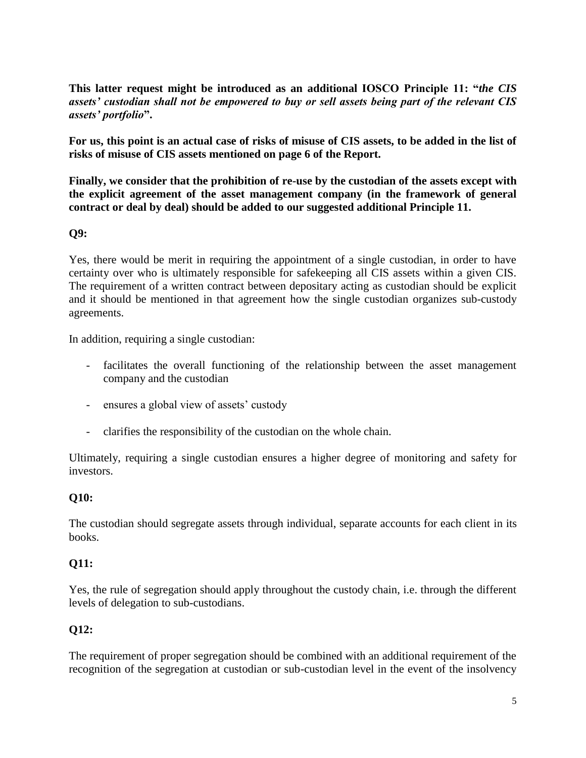**This latter request might be introduced as an additional IOSCO Principle 11: "***the CIS assets' custodian shall not be empowered to buy or sell assets being part of the relevant CIS assets' portfolio***".**

**For us, this point is an actual case of risks of misuse of CIS assets, to be added in the list of risks of misuse of CIS assets mentioned on page 6 of the Report.**

**Finally, we consider that the prohibition of re-use by the custodian of the assets except with the explicit agreement of the asset management company (in the framework of general contract or deal by deal) should be added to our suggested additional Principle 11.** 

#### **Q9:**

Yes, there would be merit in requiring the appointment of a single custodian, in order to have certainty over who is ultimately responsible for safekeeping all CIS assets within a given CIS. The requirement of a written contract between depositary acting as custodian should be explicit and it should be mentioned in that agreement how the single custodian organizes sub-custody agreements.

In addition, requiring a single custodian:

- facilitates the overall functioning of the relationship between the asset management company and the custodian
- ensures a global view of assets' custody
- clarifies the responsibility of the custodian on the whole chain.

Ultimately, requiring a single custodian ensures a higher degree of monitoring and safety for investors.

## **Q10:**

The custodian should segregate assets through individual, separate accounts for each client in its books.

## **Q11:**

Yes, the rule of segregation should apply throughout the custody chain, i.e. through the different levels of delegation to sub-custodians.

## **Q12:**

The requirement of proper segregation should be combined with an additional requirement of the recognition of the segregation at custodian or sub-custodian level in the event of the insolvency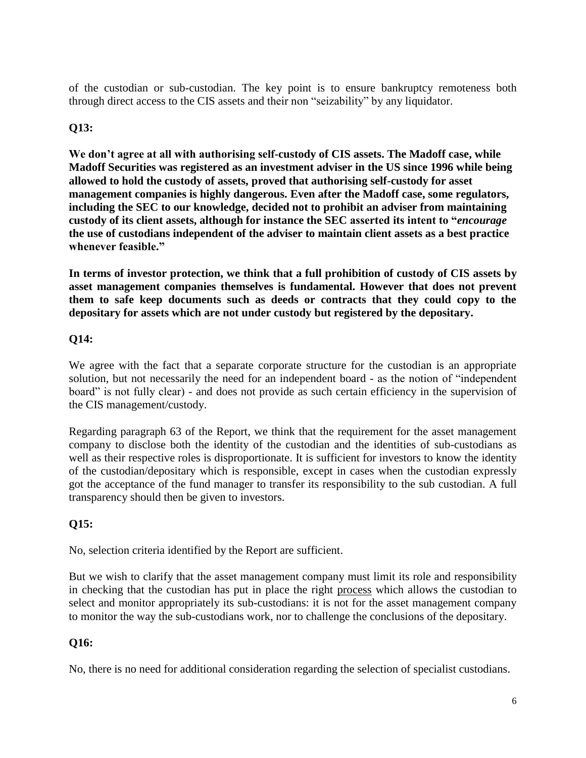of the custodian or sub-custodian. The key point is to ensure bankruptcy remoteness both through direct access to the CIS assets and their non "seizability" by any liquidator.

# **Q13:**

**We don't agree at all with authorising self-custody of CIS assets. The Madoff case, while Madoff Securities was registered as an investment adviser in the US since 1996 while being allowed to hold the custody of assets, proved that authorising self-custody for asset management companies is highly dangerous. Even after the Madoff case, some regulators, including the SEC to our knowledge, decided not to prohibit an adviser from maintaining custody of its client assets, although for instance the SEC asserted its intent to "***encourage* **the use of custodians independent of the adviser to maintain client assets as a best practice whenever feasible."**

**In terms of investor protection, we think that a full prohibition of custody of CIS assets by asset management companies themselves is fundamental. However that does not prevent them to safe keep documents such as deeds or contracts that they could copy to the depositary for assets which are not under custody but registered by the depositary.**

## **Q14:**

We agree with the fact that a separate corporate structure for the custodian is an appropriate solution, but not necessarily the need for an independent board - as the notion of "independent board" is not fully clear) - and does not provide as such certain efficiency in the supervision of the CIS management/custody.

Regarding paragraph 63 of the Report, we think that the requirement for the asset management company to disclose both the identity of the custodian and the identities of sub-custodians as well as their respective roles is disproportionate. It is sufficient for investors to know the identity of the custodian/depositary which is responsible, except in cases when the custodian expressly got the acceptance of the fund manager to transfer its responsibility to the sub custodian. A full transparency should then be given to investors.

# **Q15:**

No, selection criteria identified by the Report are sufficient.

But we wish to clarify that the asset management company must limit its role and responsibility in checking that the custodian has put in place the right process which allows the custodian to select and monitor appropriately its sub-custodians: it is not for the asset management company to monitor the way the sub-custodians work, nor to challenge the conclusions of the depositary.

## **Q16:**

No, there is no need for additional consideration regarding the selection of specialist custodians.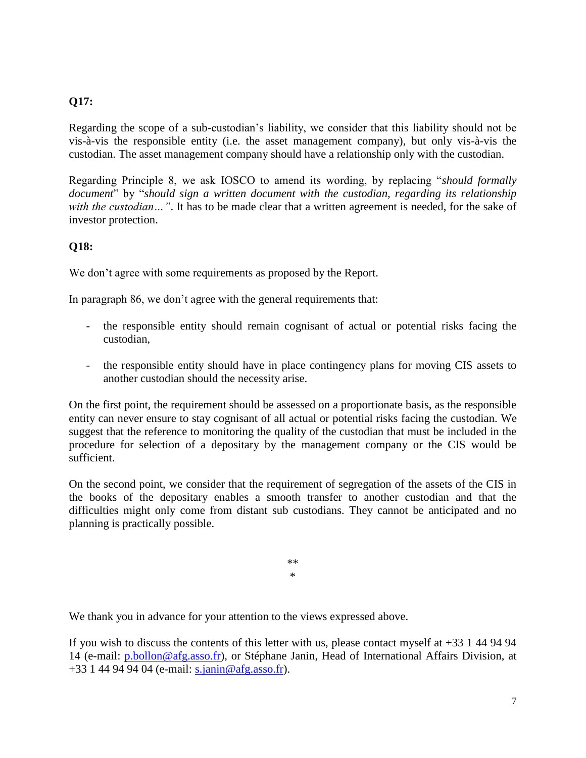#### **Q17:**

Regarding the scope of a sub-custodian's liability, we consider that this liability should not be vis-à-vis the responsible entity (i.e. the asset management company), but only vis-à-vis the custodian. The asset management company should have a relationship only with the custodian.

Regarding Principle 8, we ask IOSCO to amend its wording, by replacing "*should formally document*" by "*should sign a written document with the custodian, regarding its relationship with the custodian* ... ". It has to be made clear that a written agreement is needed, for the sake of investor protection.

#### **Q18:**

We don't agree with some requirements as proposed by the Report.

In paragraph 86, we don't agree with the general requirements that:

- the responsible entity should remain cognisant of actual or potential risks facing the custodian,
- the responsible entity should have in place contingency plans for moving CIS assets to another custodian should the necessity arise.

On the first point, the requirement should be assessed on a proportionate basis, as the responsible entity can never ensure to stay cognisant of all actual or potential risks facing the custodian. We suggest that the reference to monitoring the quality of the custodian that must be included in the procedure for selection of a depositary by the management company or the CIS would be sufficient.

On the second point, we consider that the requirement of segregation of the assets of the CIS in the books of the depositary enables a smooth transfer to another custodian and that the difficulties might only come from distant sub custodians. They cannot be anticipated and no planning is practically possible.

> \*\* \*

We thank you in advance for your attention to the views expressed above.

If you wish to discuss the contents of this letter with us, please contact myself at +33 1 44 94 94 14 (e-mail: [p.bollon@afg.asso.fr\)](mailto:p.bollon@afg.asso.fr), or Stéphane Janin, Head of International Affairs Division, at +33 1 44 94 94 04 (e-mail: [s.janin@afg.asso.fr\)](mailto:s.janin@afg.asso.fr).